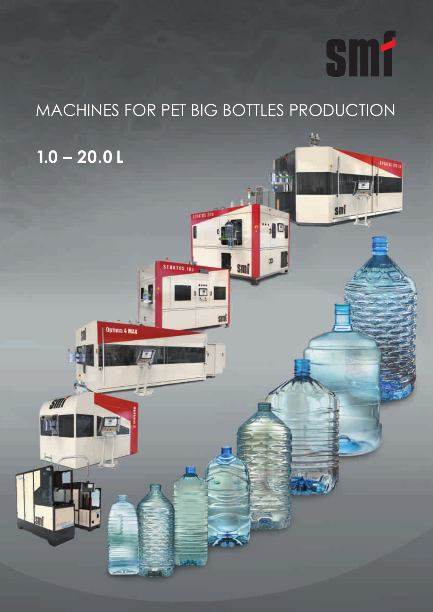# smf

<u>UTATEL DE T</u>

A.

smi

## MACHINES FOR PET BIG BOTTLES PRODUCTION

**TUDIES** 

Ë.

smi

**STRATOS INC.** 

Optima 4 MAX

smf

## **1.0 – 20.0 L**

**M**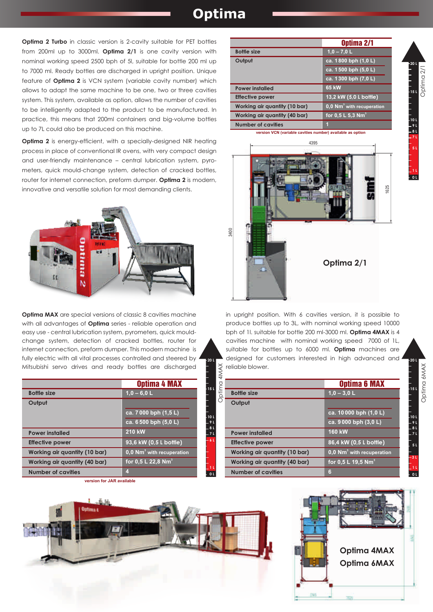#### **Optima**

**Optima 2 Turbo** in classic version is 2-cavity suitable for PET bottles from 200ml up to 3000ml. **Optima 2/1** is one cavity version with nominal working speed 2500 bph of 5l, suitable for bottle 200 ml up to 7000 ml. Ready bottles are discharged in upright position. Unique feature of **Optima 2** is VCN system (variable cavity number) which allows to adapt the same machine to be one, two or three cavities system. This system, available as option, allows the number of cavities to be intelligently adapted to the product to be manufactured. In practice, this means that 200ml containers and big-volume bottles up to 7L could also be produced on this machine.

**Optima 2** is energy-efficient, with a specially-designed NIR heating process in place of conventional IR ovens, with very compact design and user-friendly maintenance – central lubrication system, pyrometers, quick mould-change system, detection of cracked bottles, router for internet connection, preform dumper. **Optima 2** is modern, innovative and versatile solution for most demanding clients.



**Optima MAX** are special versions of classic 8 cavities machine with all advantages of **Optima** series - reliable operation and easy use - central lubrication system, pyrometers, quick mouldchange system, detection of cracked bottles, router for internet connection, preform dumper. This modern machine is fully electric with all vital processes controlled and steered by Mitsubishi servo drives and ready bottles are discharged

|                               | <b>Optima 4 MAX</b>                   |  |
|-------------------------------|---------------------------------------|--|
| <b>Bottle size</b>            | $1,0 - 6,0 L$                         |  |
| Output                        |                                       |  |
|                               | ca. 7000 bph (1,5L)                   |  |
|                               | ca. 6 500 bph (5,0 L)                 |  |
| <b>Power installed</b>        | 210 kW                                |  |
| <b>Effective power</b>        | 93,6 kW (0,5 L bottle)                |  |
| Working air quantity (10 bar) | 0,0 Nm <sup>3</sup> with recuperation |  |
| Working air quantity (40 bar) | for 0,5 L 22,8 Nm <sup>3</sup>        |  |
| <b>Number of cavities</b>     | 4                                     |  |

**version for JAR available** 

|                               | Optima 2/1                          |  |
|-------------------------------|-------------------------------------|--|
| <b>Bottle size</b>            | $1,0 - 7,0$ L                       |  |
| Output                        | ca. 1800 bph (1,0 L)                |  |
|                               | ca. $1\overline{500}$ bph $(5,0 L)$ |  |
|                               | ca. 1300 bph (7,0 L)                |  |
| <b>Power installed</b>        | 65 kW                               |  |
| <b>Effective power</b>        | 13,2 kW (5,0 L bottle)              |  |
| Working air quantity (10 bar) | $0,0$ Nm $3$ with recuperation      |  |
| Working air quantity (40 bar) | for 0.5 L 5.3 Nm <sup>3</sup>       |  |
| <b>Number of cavities</b>     | п                                   |  |

**15 L**

Dptima 2/1

**20 L**

**10 L 9 L 8 L 7 L 5 L**

> **1 L 0 L**

**15 L**

Optima 6MAX

Optima 6MAX

**20 L**

 $10<sup>10</sup>$ **9 L 8 L 7 L 5 L**

> **1 L 0 L**

**3 L**

**version VCN (variable cavities number) available as option** 



in upright position. With 6 cavities version, it is possible to produce bottles up to 3L, with nominal working speed 10000 bph of 1l. suitable for bottle 200 ml-3000 ml. **Optima 4MAX** is 4 cavities machine with nominal working speed 7000 of 1L, suitable for bottles up to 6000 ml. **Optima** machines are designed for customers interested in high advanced and reliable blower.

|                               | <b>Optima 6 MAX</b>                   |  |
|-------------------------------|---------------------------------------|--|
|                               |                                       |  |
| <b>Bottle size</b>            | $1.0 - 3.0 L$                         |  |
| Output                        |                                       |  |
|                               | ca. 10 000 bph (1,0 L)                |  |
|                               | ca. $9\overline{000}$ bph $(3,0 L)$   |  |
| <b>Power installed</b>        | 160 kW                                |  |
| <b>Effective power</b>        | 86,4 kW (0,5 L bottle)                |  |
| Working air quantity (10 bar) | 0,0 Nm <sup>3</sup> with recuperation |  |
| Working air quantity (40 bar) | for 0,5 L 19,5 Nm <sup>3</sup>        |  |
| <b>Number of cavities</b>     | 6                                     |  |
|                               |                                       |  |



**15 L**

**20 L**

 $\overline{\mathsf{A}}$ 

**10 L 9 L 8 L 7 L**

> **1 L 0 L**

> **6 L**

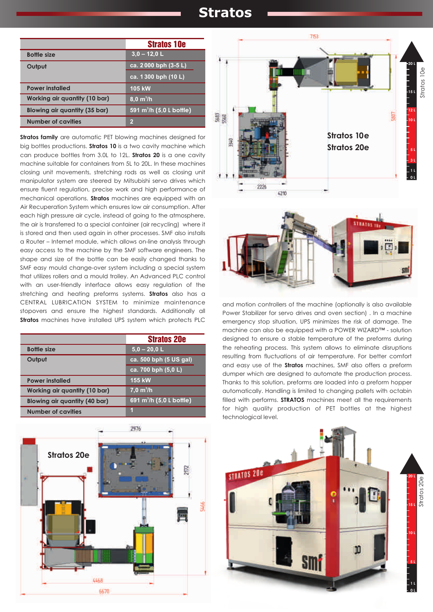#### **Stratos**

|                                      | <b>Stratos 10e</b>                   |  |
|--------------------------------------|--------------------------------------|--|
| <b>Bottle size</b>                   | $3,0 - 12,0$ L                       |  |
| Output                               | ca. $2\overline{000}$ bph $(3-5L)$   |  |
|                                      | ca. 1300 bph (10 L)                  |  |
| <b>Power installed</b>               | 105 kW                               |  |
| <b>Working air quantity (10 bar)</b> | $8,0 \, \text{m}^3/\text{h}$         |  |
| Blowing air quantity (35 bar)        | 591 m <sup>3</sup> /h (5,0 L bottle) |  |
| <b>Number of cavities</b>            | 2                                    |  |

**Stratos family** are automatic PET blowing machines designed for big bottles productions. **Stratos 10** is a two cavity machine which can produce bottles from 3.0L to 12L. **Stratos 20** is a one cavity machine suitable for containers from 5L to 20L. In these machines closing unit movements, stretching rods as well as closing unit manipulator system are steered by Mitsubishi servo drives which ensure fluent regulation, precise work and high performance of mechanical operations. **Stratos** machines are equipped with an Air Recuperation System which ensures low air consumption. After each high pressure air cycle, instead of going to the atmosphere, the air is transferred to a special container (air recycling) where it is stored and then used again in other processes. SMF also installs a Router – Internet module, which allows on-line analysis through easy access to the machine by the SMF software engineers. The shape and size of the bottle can be easily changed thanks to SMF easy mould change-over system including a special system that utilizes rollers and a mould trolley. An Advanced PLC control with an user-friendly interface allows easy regulation of the stretching and heating preforms systems. **Stratos** also has a CENTRAL LUBRICATION SYSTEM to minimize maintenance stopovers and ensure the highest standards. Additionally all **Stratos** machines have installed UPS system which protects PLC

|                                      | <b>Stratos 20e</b>                   |  |
|--------------------------------------|--------------------------------------|--|
| <b>Bottle size</b>                   | $5.0 - 20.0 L$                       |  |
| Output                               | ca. 500 bph (5 US gal)               |  |
|                                      | ca. 700 bph (5,0 L)                  |  |
| <b>Power installed</b>               | <b>155 kW</b>                        |  |
| Working air quantity (10 bar)        | 7.0 m <sup>3</sup> /h                |  |
| <b>Blowing air quantity (40 bar)</b> | 691 m <sup>3</sup> /h (5,0 L bottle) |  |
| <b>Number of cavities</b>            |                                      |  |







and motion controllers of the machine (optionally is also available Power Stabilizer for servo drives and oven section) . In a machine emergency stop situation, UPS minimizes the risk of damage. The machine can also be equipped with a POWER WIZARD™ - solution designed to ensure a stable temperature of the preforms during the reheating process. This system allows to eliminate disruptions resulting from fluctuations of air temperature. For better comfort and easy use of the **Stratos** machines, SMF also offers a preform dumper which are designed to automate the production process. Thanks to this solution, preforms are loaded into a preform hopper automatically. Handling is limited to changing pallets with octabin filled with performs. **STRATOS** machines meet all the requirements for high quality production of PET bottles at the highest technological level.